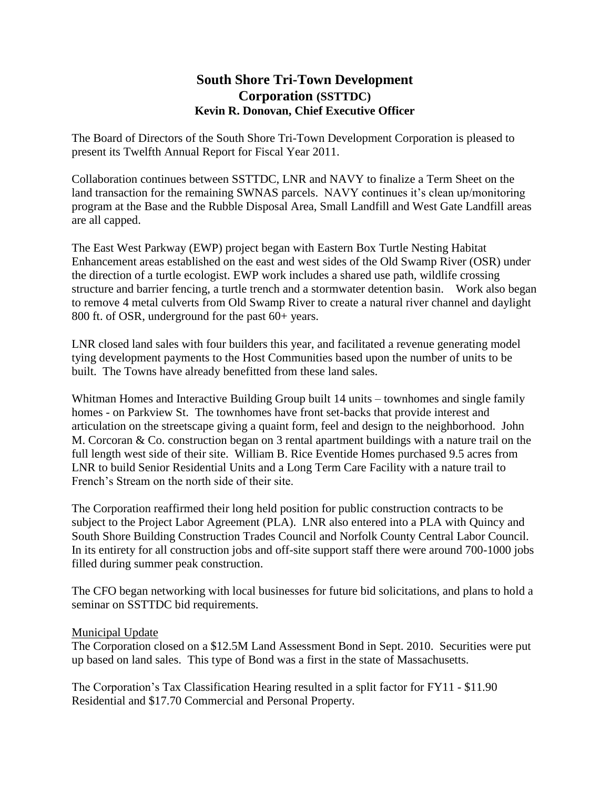## **South Shore Tri-Town Development Corporation (SSTTDC) Kevin R. Donovan, Chief Executive Officer**

The Board of Directors of the South Shore Tri-Town Development Corporation is pleased to present its Twelfth Annual Report for Fiscal Year 2011.

Collaboration continues between SSTTDC, LNR and NAVY to finalize a Term Sheet on the land transaction for the remaining SWNAS parcels. NAVY continues it's clean up/monitoring program at the Base and the Rubble Disposal Area, Small Landfill and West Gate Landfill areas are all capped.

The East West Parkway (EWP) project began with Eastern Box Turtle Nesting Habitat Enhancement areas established on the east and west sides of the Old Swamp River (OSR) under the direction of a turtle ecologist. EWP work includes a shared use path, wildlife crossing structure and barrier fencing, a turtle trench and a stormwater detention basin. Work also began to remove 4 metal culverts from Old Swamp River to create a natural river channel and daylight 800 ft. of OSR, underground for the past 60+ years.

LNR closed land sales with four builders this year, and facilitated a revenue generating model tying development payments to the Host Communities based upon the number of units to be built. The Towns have already benefitted from these land sales.

Whitman Homes and Interactive Building Group built 14 units – townhomes and single family homes - on Parkview St. The townhomes have front set-backs that provide interest and articulation on the streetscape giving a quaint form, feel and design to the neighborhood. John M. Corcoran & Co. construction began on 3 rental apartment buildings with a nature trail on the full length west side of their site. William B. Rice Eventide Homes purchased 9.5 acres from LNR to build Senior Residential Units and a Long Term Care Facility with a nature trail to French's Stream on the north side of their site.

The Corporation reaffirmed their long held position for public construction contracts to be subject to the Project Labor Agreement (PLA). LNR also entered into a PLA with Quincy and South Shore Building Construction Trades Council and Norfolk County Central Labor Council. In its entirety for all construction jobs and off-site support staff there were around 700-1000 jobs filled during summer peak construction.

The CFO began networking with local businesses for future bid solicitations, and plans to hold a seminar on SSTTDC bid requirements.

## Municipal Update

The Corporation closed on a \$12.5M Land Assessment Bond in Sept. 2010. Securities were put up based on land sales. This type of Bond was a first in the state of Massachusetts.

The Corporation's Tax Classification Hearing resulted in a split factor for FY11 - \$11.90 Residential and \$17.70 Commercial and Personal Property.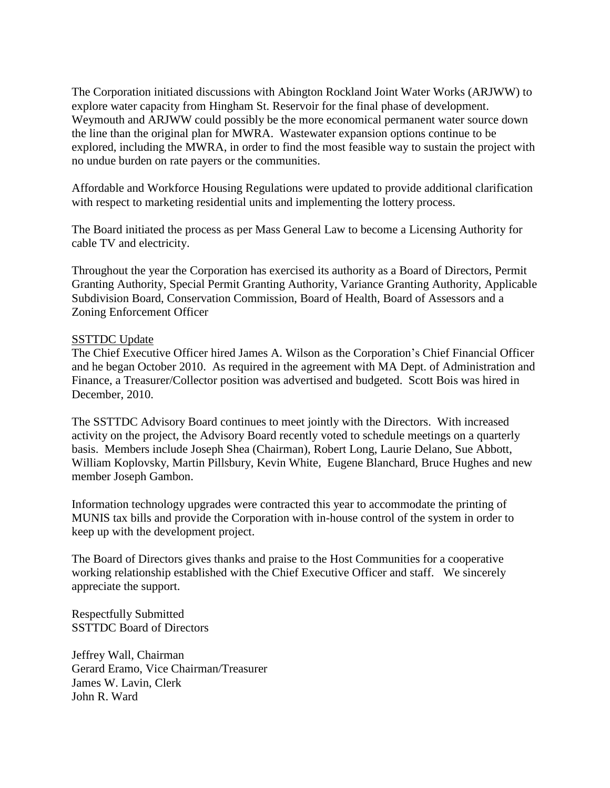The Corporation initiated discussions with Abington Rockland Joint Water Works (ARJWW) to explore water capacity from Hingham St. Reservoir for the final phase of development. Weymouth and ARJWW could possibly be the more economical permanent water source down the line than the original plan for MWRA. Wastewater expansion options continue to be explored, including the MWRA, in order to find the most feasible way to sustain the project with no undue burden on rate payers or the communities.

Affordable and Workforce Housing Regulations were updated to provide additional clarification with respect to marketing residential units and implementing the lottery process.

The Board initiated the process as per Mass General Law to become a Licensing Authority for cable TV and electricity.

Throughout the year the Corporation has exercised its authority as a Board of Directors, Permit Granting Authority, Special Permit Granting Authority, Variance Granting Authority, Applicable Subdivision Board, Conservation Commission, Board of Health, Board of Assessors and a Zoning Enforcement Officer

## SSTTDC Update

The Chief Executive Officer hired James A. Wilson as the Corporation's Chief Financial Officer and he began October 2010. As required in the agreement with MA Dept. of Administration and Finance, a Treasurer/Collector position was advertised and budgeted. Scott Bois was hired in December, 2010.

The SSTTDC Advisory Board continues to meet jointly with the Directors. With increased activity on the project, the Advisory Board recently voted to schedule meetings on a quarterly basis. Members include Joseph Shea (Chairman), Robert Long, Laurie Delano, Sue Abbott, William Koplovsky, Martin Pillsbury, Kevin White, Eugene Blanchard, Bruce Hughes and new member Joseph Gambon.

Information technology upgrades were contracted this year to accommodate the printing of MUNIS tax bills and provide the Corporation with in-house control of the system in order to keep up with the development project.

The Board of Directors gives thanks and praise to the Host Communities for a cooperative working relationship established with the Chief Executive Officer and staff. We sincerely appreciate the support.

Respectfully Submitted SSTTDC Board of Directors

Jeffrey Wall, Chairman Gerard Eramo, Vice Chairman/Treasurer James W. Lavin, Clerk John R. Ward